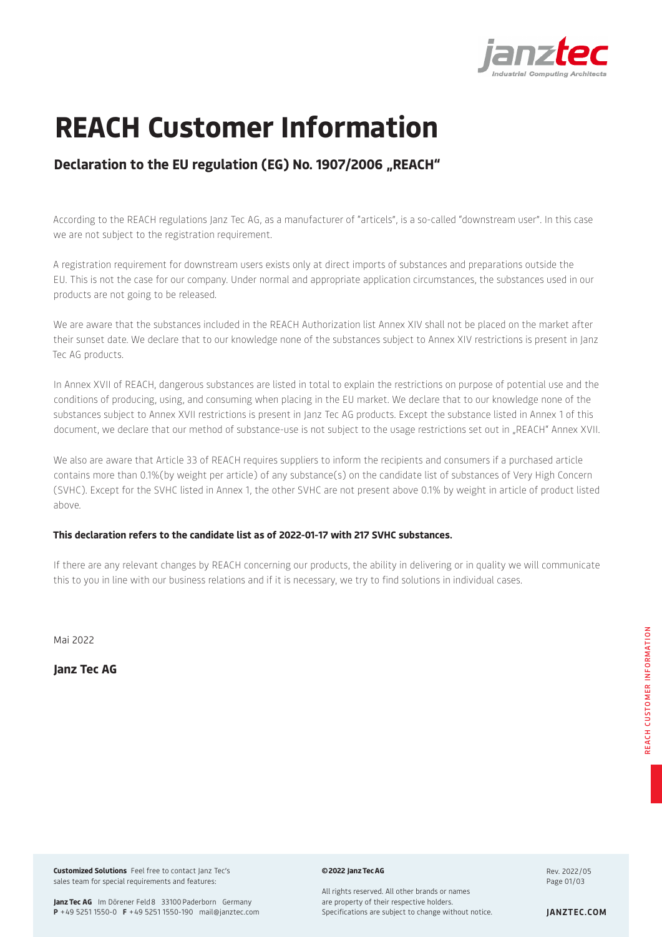

# **REACH Customer Information**

# **Declaration to the EU regulation (EG) No. 1907/2006 "REACH"**

According to the REACH regulations Janz Tec AG, as a manufacturer of "articels", is a so-called "downstream user". In this case we are not subject to the registration requirement.

A registration requirement for downstream users exists only at direct imports of substances and preparations outside the EU. This is not the case for our company. Under normal and appropriate application circumstances, the substances used in our products are not going to be released.

We are aware that the substances included in the REACH Authorization list Annex XIV shall not be placed on the market after their sunset date. We declare that to our knowledge none of the substances subject to Annex XIV restrictions is present in Janz Tec AG products.

In Annex XVII of REACH, dangerous substances are listed in total to explain the restrictions on purpose of potential use and the conditions of producing, using, and consuming when placing in the EU market. We declare that to our knowledge none of the substances subject to Annex XVII restrictions is present in Janz Tec AG products. Except the substance listed in Annex 1 of this document, we declare that our method of substance-use is not subject to the usage restrictions set out in "REACH" Annex XVII.

We also are aware that Article 33 of REACH requires suppliers to inform the recipients and consumers if a purchased article contains more than 0.1%(by weight per article) of any substance(s) on the candidate list of substances of Very High Concern (SVHC). Except for the SVHC listed in Annex 1, the other SVHC are not present above 0.1% by weight in article of product listed above.

## **This declaration refers to the candidate list as of 2022-01-17 with 217 SVHC substances.**

If there are any relevant changes by REACH concerning our products, the ability in delivering or in quality we will communicate this to you in line with our business relations and if it is necessary, we try to find solutions in individual cases.

Mai 2022

**Janz Tec AG**

**Customized Solutions** Feel free to contact Janz Tec's sales team for special requirements and features:

**©2022 JanzTecAG**

Rev. 2022/05 Page 01/03

Janz Tec AG Im Dörener Feld 8 33100 Paderborn Germany **P** +49 5251 1550-0 **F** +49 5251 1550-190 mail@janztec.com All rights reserved. All other brands or names are property of their respective holders. Specifications are subject to change without notice. **JANZTEC.COM**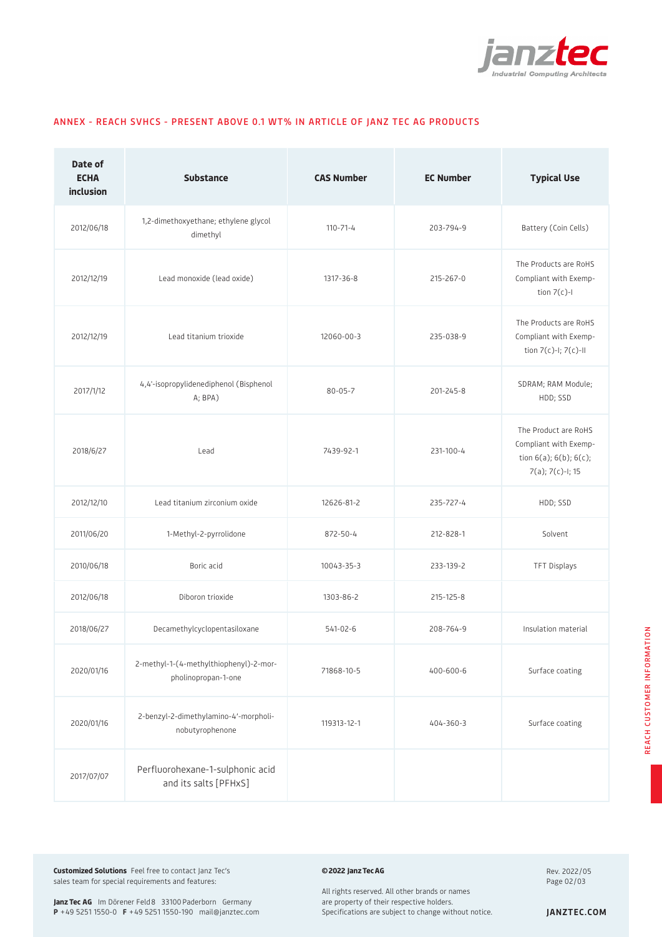

| Date of<br><b>ECHA</b><br>inclusion | <b>Substance</b>                                              | <b>CAS Number</b> | <b>EC Number</b> | <b>Typical Use</b>                                                                                   |
|-------------------------------------|---------------------------------------------------------------|-------------------|------------------|------------------------------------------------------------------------------------------------------|
| 2012/06/18                          | 1,2-dimethoxyethane; ethylene glycol<br>dimethyl              | $110 - 71 - 4$    | 203-794-9        | Battery (Coin Cells)                                                                                 |
| 2012/12/19                          | Lead monoxide (lead oxide)                                    | 1317-36-8         | 215-267-0        | The Products are RoHS<br>Compliant with Exemp-<br>tion $7(c)$ -l                                     |
| 2012/12/19                          | Lead titanium trioxide                                        | 12060-00-3        | 235-038-9        | The Products are RoHS<br>Compliant with Exemp-<br>tion 7(c)-I; 7(c)-II                               |
| 2017/1/12                           | 4,4'-isopropylidenediphenol (Bisphenol<br>A; BPA)             | $80 - 05 - 7$     | 201-245-8        | SDRAM; RAM Module;<br>HDD; SSD                                                                       |
| 2018/6/27                           | Lead                                                          | 7439-92-1         | 231-100-4        | The Product are RoHS<br>Compliant with Exemp-<br>tion $6(a)$ ; $6(b)$ ; $6(c)$ ;<br>7(a); 7(c)-I; 15 |
| 2012/12/10                          | Lead titanium zirconium oxide                                 | 12626-81-2        | 235-727-4        | HDD; SSD                                                                                             |
| 2011/06/20                          | 1-Methyl-2-pyrrolidone                                        | 872-50-4          | 212-828-1        | Solvent                                                                                              |
| 2010/06/18                          | Boric acid                                                    | 10043-35-3        | 233-139-2        | TFT Displays                                                                                         |
| 2012/06/18                          | Diboron trioxide                                              | 1303-86-2         | 215-125-8        |                                                                                                      |
| 2018/06/27                          | Decamethylcyclopentasiloxane                                  | 541-02-6          | 208-764-9        | Insulation material                                                                                  |
| 2020/01/16                          | 2-methyl-1-(4-methylthiophenyl)-2-mor-<br>pholinopropan-1-one | 71868-10-5        | 400-600-6        | Surface coating                                                                                      |
| 2020/01/16                          | 2-benzyl-2-dimethylamino-4'-morpholi-<br>nobutyrophenone      | 119313-12-1       | 404-360-3        | Surface coating                                                                                      |
| 2017/07/07                          | Perfluorohexane-1-sulphonic acid<br>and its salts [PFHxS]     |                   |                  |                                                                                                      |

### ANNEX - REACH SVHCS - PRESENT ABOVE 0.1 WT% IN ARTICLE OF JANZ TEC AG PRODUCTS

**Customized Solutions** Feel free to contact Janz Tec's sales team for special requirements and features:

#### **©2022 JanzTecAG**

Rev. 2022/05 Page 02/03

Janz Tec AG Im Dörener Feld 8 33100 Paderborn Germany **P** +49 5251 1550-0 **F** +49 5251 1550-190 mail@janztec.com All rights reserved. All other brands or names are property of their respective holders. Specifications are subject to change without notice. **JANZTEC.COM**